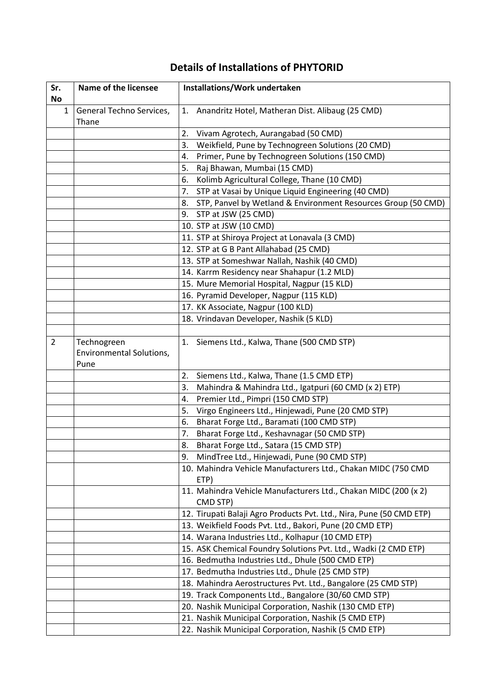## **Details of Installations of PHYTORID**

| Sr.<br>No      | Name of the licensee                            | Installations/Work undertaken                                               |
|----------------|-------------------------------------------------|-----------------------------------------------------------------------------|
| $\mathbf{1}$   | General Techno Services,<br>Thane               | Anandritz Hotel, Matheran Dist. Alibaug (25 CMD)<br>1.                      |
|                |                                                 | Vivam Agrotech, Aurangabad (50 CMD)<br>2.                                   |
|                |                                                 | 3.<br>Weikfield, Pune by Technogreen Solutions (20 CMD)                     |
|                |                                                 | Primer, Pune by Technogreen Solutions (150 CMD)<br>4.                       |
|                |                                                 | Raj Bhawan, Mumbai (15 CMD)<br>5.                                           |
|                |                                                 | Kolimb Agricultural College, Thane (10 CMD)<br>6.                           |
|                |                                                 | STP at Vasai by Unique Liquid Engineering (40 CMD)<br>7.                    |
|                |                                                 | 8. STP, Panvel by Wetland & Environment Resources Group (50 CMD)            |
|                |                                                 | 9. STP at JSW (25 CMD)                                                      |
|                |                                                 | 10. STP at JSW (10 CMD)                                                     |
|                |                                                 | 11. STP at Shiroya Project at Lonavala (3 CMD)                              |
|                |                                                 | 12. STP at G B Pant Allahabad (25 CMD)                                      |
|                |                                                 | 13. STP at Someshwar Nallah, Nashik (40 CMD)                                |
|                |                                                 | 14. Karrm Residency near Shahapur (1.2 MLD)                                 |
|                |                                                 | 15. Mure Memorial Hospital, Nagpur (15 KLD)                                 |
|                |                                                 | 16. Pyramid Developer, Nagpur (115 KLD)                                     |
|                |                                                 | 17. KK Associate, Nagpur (100 KLD)                                          |
|                |                                                 | 18. Vrindavan Developer, Nashik (5 KLD)                                     |
|                |                                                 |                                                                             |
| $\overline{2}$ | Technogreen<br>Environmental Solutions,<br>Pune | 1. Siemens Ltd., Kalwa, Thane (500 CMD STP)                                 |
|                |                                                 | Siemens Ltd., Kalwa, Thane (1.5 CMD ETP)<br>2.                              |
|                |                                                 | Mahindra & Mahindra Ltd., Igatpuri (60 CMD (x 2) ETP)<br>3.                 |
|                |                                                 | 4.<br>Premier Ltd., Pimpri (150 CMD STP)                                    |
|                |                                                 | 5.<br>Virgo Engineers Ltd., Hinjewadi, Pune (20 CMD STP)                    |
|                |                                                 | 6.<br>Bharat Forge Ltd., Baramati (100 CMD STP)                             |
|                |                                                 | 7.<br>Bharat Forge Ltd., Keshavnagar (50 CMD STP)                           |
|                |                                                 | Bharat Forge Ltd., Satara (15 CMD STP)<br>8.                                |
|                |                                                 | MindTree Ltd., Hinjewadi, Pune (90 CMD STP)<br>9.                           |
|                |                                                 | 10. Mahindra Vehicle Manufacturers Ltd., Chakan MIDC (750 CMD<br>ETP)       |
|                |                                                 | 11. Mahindra Vehicle Manufacturers Ltd., Chakan MIDC (200 (x 2)<br>CMD STP) |
|                |                                                 | 12. Tirupati Balaji Agro Products Pvt. Ltd., Nira, Pune (50 CMD ETP)        |
|                |                                                 | 13. Weikfield Foods Pvt. Ltd., Bakori, Pune (20 CMD ETP)                    |
|                |                                                 | 14. Warana Industries Ltd., Kolhapur (10 CMD ETP)                           |
|                |                                                 | 15. ASK Chemical Foundry Solutions Pvt. Ltd., Wadki (2 CMD ETP)             |
|                |                                                 | 16. Bedmutha Industries Ltd., Dhule (500 CMD ETP)                           |
|                |                                                 | 17. Bedmutha Industries Ltd., Dhule (25 CMD STP)                            |
|                |                                                 | 18. Mahindra Aerostructures Pvt. Ltd., Bangalore (25 CMD STP)               |
|                |                                                 | 19. Track Components Ltd., Bangalore (30/60 CMD STP)                        |
|                |                                                 | 20. Nashik Municipal Corporation, Nashik (130 CMD ETP)                      |
|                |                                                 | 21. Nashik Municipal Corporation, Nashik (5 CMD ETP)                        |
|                |                                                 | 22. Nashik Municipal Corporation, Nashik (5 CMD ETP)                        |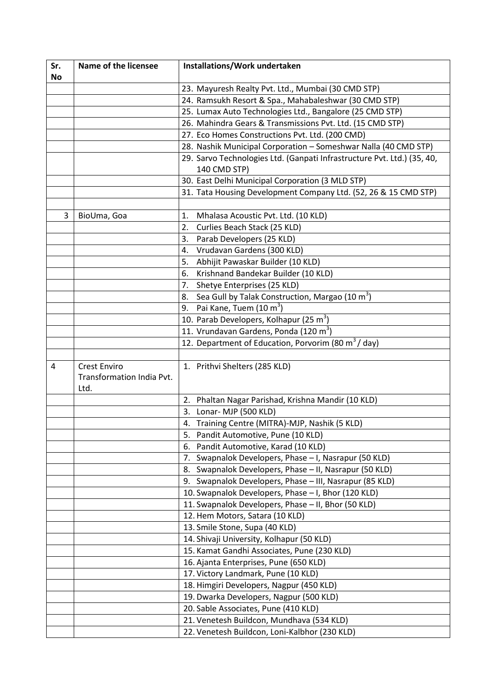| Sr. | Name of the licensee                             | Installations/Work undertaken                                                           |
|-----|--------------------------------------------------|-----------------------------------------------------------------------------------------|
| No  |                                                  |                                                                                         |
|     |                                                  | 23. Mayuresh Realty Pvt. Ltd., Mumbai (30 CMD STP)                                      |
|     |                                                  | 24. Ramsukh Resort & Spa., Mahabaleshwar (30 CMD STP)                                   |
|     |                                                  | 25. Lumax Auto Technologies Ltd., Bangalore (25 CMD STP)                                |
|     |                                                  | 26. Mahindra Gears & Transmissions Pvt. Ltd. (15 CMD STP)                               |
|     |                                                  | 27. Eco Homes Constructions Pvt. Ltd. (200 CMD)                                         |
|     |                                                  | 28. Nashik Municipal Corporation - Someshwar Nalla (40 CMD STP)                         |
|     |                                                  | 29. Sarvo Technologies Ltd. (Ganpati Infrastructure Pvt. Ltd.) (35, 40,<br>140 CMD STP) |
|     |                                                  | 30. East Delhi Municipal Corporation (3 MLD STP)                                        |
|     |                                                  | 31. Tata Housing Development Company Ltd. (52, 26 & 15 CMD STP)                         |
|     |                                                  |                                                                                         |
| 3   | BioUma, Goa                                      | Mhalasa Acoustic Pvt. Ltd. (10 KLD)<br>1.                                               |
|     |                                                  | Curlies Beach Stack (25 KLD)<br>2.                                                      |
|     |                                                  | Parab Developers (25 KLD)<br>3.                                                         |
|     |                                                  | Vrudavan Gardens (300 KLD)<br>4.                                                        |
|     |                                                  | Abhijit Pawaskar Builder (10 KLD)<br>5.                                                 |
|     |                                                  | Krishnand Bandekar Builder (10 KLD)<br>6.                                               |
|     |                                                  | Shetye Enterprises (25 KLD)<br>7.                                                       |
|     |                                                  | Sea Gull by Talak Construction, Margao (10 m <sup>3</sup> )<br>8.                       |
|     |                                                  | Pai Kane, Tuem (10 m <sup>3</sup> )<br>9.                                               |
|     |                                                  | 10. Parab Developers, Kolhapur (25 m <sup>3</sup> )                                     |
|     |                                                  | 11. Vrundavan Gardens, Ponda (120 m <sup>3</sup> )                                      |
|     |                                                  | 12. Department of Education, Porvorim (80 m <sup>3</sup> /day)                          |
|     |                                                  |                                                                                         |
| 4   | <b>Crest Enviro</b><br>Transformation India Pvt. | 1. Prithvi Shelters (285 KLD)                                                           |
|     | Ltd.                                             |                                                                                         |
|     |                                                  | Phaltan Nagar Parishad, Krishna Mandir (10 KLD)<br>2.                                   |
|     |                                                  | 3.<br>Lonar- MJP (500 KLD)                                                              |
|     |                                                  | 4. Training Centre (MITRA)-MJP, Nashik (5 KLD)                                          |
|     |                                                  | Pandit Automotive, Pune (10 KLD)<br>5.                                                  |
|     |                                                  | Pandit Automotive, Karad (10 KLD)<br>6.                                                 |
|     |                                                  | 7. Swapnalok Developers, Phase - I, Nasrapur (50 KLD)                                   |
|     |                                                  | Swapnalok Developers, Phase - II, Nasrapur (50 KLD)<br>8.                               |
|     |                                                  | 9. Swapnalok Developers, Phase - III, Nasrapur (85 KLD)                                 |
|     |                                                  | 10. Swapnalok Developers, Phase - I, Bhor (120 KLD)                                     |
|     |                                                  | 11. Swapnalok Developers, Phase - II, Bhor (50 KLD)                                     |
|     |                                                  | 12. Hem Motors, Satara (10 KLD)                                                         |
|     |                                                  | 13. Smile Stone, Supa (40 KLD)                                                          |
|     |                                                  | 14. Shivaji University, Kolhapur (50 KLD)                                               |
|     |                                                  | 15. Kamat Gandhi Associates, Pune (230 KLD)                                             |
|     |                                                  | 16. Ajanta Enterprises, Pune (650 KLD)                                                  |
|     |                                                  | 17. Victory Landmark, Pune (10 KLD)                                                     |
|     |                                                  | 18. Himgiri Developers, Nagpur (450 KLD)                                                |
|     |                                                  | 19. Dwarka Developers, Nagpur (500 KLD)                                                 |
|     |                                                  | 20. Sable Associates, Pune (410 KLD)                                                    |
|     |                                                  | 21. Venetesh Buildcon, Mundhava (534 KLD)                                               |
|     |                                                  | 22. Venetesh Buildcon, Loni-Kalbhor (230 KLD)                                           |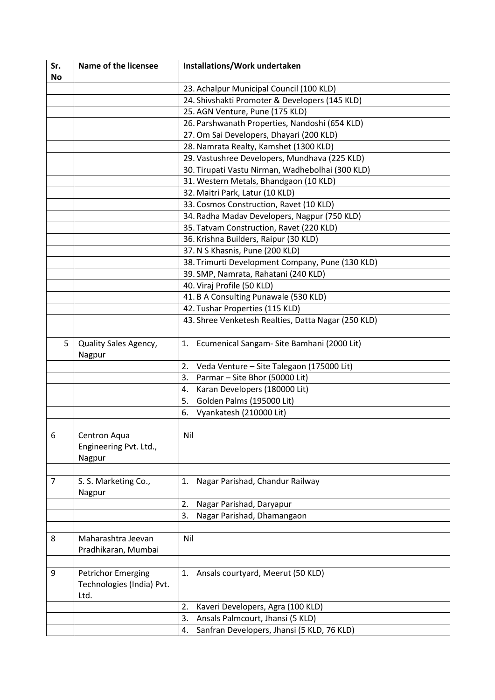| Sr.            | Name of the licensee                                           | Installations/Work undertaken                       |
|----------------|----------------------------------------------------------------|-----------------------------------------------------|
| <b>No</b>      |                                                                |                                                     |
|                |                                                                | 23. Achalpur Municipal Council (100 KLD)            |
|                |                                                                | 24. Shivshakti Promoter & Developers (145 KLD)      |
|                |                                                                | 25. AGN Venture, Pune (175 KLD)                     |
|                |                                                                | 26. Parshwanath Properties, Nandoshi (654 KLD)      |
|                |                                                                | 27. Om Sai Developers, Dhayari (200 KLD)            |
|                |                                                                | 28. Namrata Realty, Kamshet (1300 KLD)              |
|                |                                                                | 29. Vastushree Developers, Mundhava (225 KLD)       |
|                |                                                                | 30. Tirupati Vastu Nirman, Wadhebolhai (300 KLD)    |
|                |                                                                | 31. Western Metals, Bhandgaon (10 KLD)              |
|                |                                                                | 32. Maitri Park, Latur (10 KLD)                     |
|                |                                                                | 33. Cosmos Construction, Ravet (10 KLD)             |
|                |                                                                | 34. Radha Madav Developers, Nagpur (750 KLD)        |
|                |                                                                | 35. Tatvam Construction, Ravet (220 KLD)            |
|                |                                                                | 36. Krishna Builders, Raipur (30 KLD)               |
|                |                                                                | 37. N S Khasnis, Pune (200 KLD)                     |
|                |                                                                | 38. Trimurti Development Company, Pune (130 KLD)    |
|                |                                                                | 39. SMP, Namrata, Rahatani (240 KLD)                |
|                |                                                                | 40. Viraj Profile (50 KLD)                          |
|                |                                                                | 41. B A Consulting Punawale (530 KLD)               |
|                |                                                                | 42. Tushar Properties (115 KLD)                     |
|                |                                                                | 43. Shree Venketesh Realties, Datta Nagar (250 KLD) |
|                |                                                                |                                                     |
| 5              | Quality Sales Agency,<br>Nagpur                                | 1. Ecumenical Sangam- Site Bamhani (2000 Lit)       |
|                |                                                                | 2.<br>Veda Venture - Site Talegaon (175000 Lit)     |
|                |                                                                | 3.<br>Parmar - Site Bhor (50000 Lit)                |
|                |                                                                | Karan Developers (180000 Lit)<br>4.                 |
|                |                                                                | Golden Palms (195000 Lit)<br>5.                     |
|                |                                                                | Vyankatesh (210000 Lit)<br>6.                       |
|                |                                                                |                                                     |
| 6              | Centron Aqua<br>Engineering Pvt. Ltd.,<br>Nagpur               | Nil                                                 |
|                |                                                                |                                                     |
| $\overline{7}$ | S. S. Marketing Co.,<br>Nagpur                                 | Nagar Parishad, Chandur Railway<br>1.               |
|                |                                                                | 2.<br>Nagar Parishad, Daryapur                      |
|                |                                                                | 3.<br>Nagar Parishad, Dhamangaon                    |
|                |                                                                |                                                     |
| 8              | Maharashtra Jeevan<br>Pradhikaran, Mumbai                      | Nil                                                 |
|                |                                                                |                                                     |
| 9              | <b>Petrichor Emerging</b><br>Technologies (India) Pvt.<br>Ltd. | Ansals courtyard, Meerut (50 KLD)<br>1.             |
|                |                                                                | 2.<br>Kaveri Developers, Agra (100 KLD)             |
|                |                                                                | 3.<br>Ansals Palmcourt, Jhansi (5 KLD)              |
|                |                                                                | Sanfran Developers, Jhansi (5 KLD, 76 KLD)<br>4.    |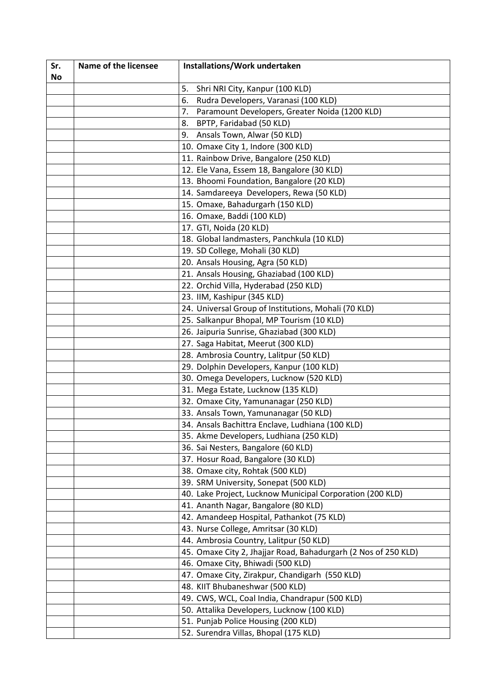| Sr.       | Name of the licensee | Installations/Work undertaken                                  |
|-----------|----------------------|----------------------------------------------------------------|
| <b>No</b> |                      |                                                                |
|           |                      | Shri NRI City, Kanpur (100 KLD)<br>5.                          |
|           |                      | 6.<br>Rudra Developers, Varanasi (100 KLD)                     |
|           |                      | Paramount Developers, Greater Noida (1200 KLD)<br>7.           |
|           |                      | BPTP, Faridabad (50 KLD)<br>8.                                 |
|           |                      | Ansals Town, Alwar (50 KLD)<br>9.                              |
|           |                      | 10. Omaxe City 1, Indore (300 KLD)                             |
|           |                      | 11. Rainbow Drive, Bangalore (250 KLD)                         |
|           |                      | 12. Ele Vana, Essem 18, Bangalore (30 KLD)                     |
|           |                      | 13. Bhoomi Foundation, Bangalore (20 KLD)                      |
|           |                      | 14. Samdareeya Developers, Rewa (50 KLD)                       |
|           |                      | 15. Omaxe, Bahadurgarh (150 KLD)                               |
|           |                      | 16. Omaxe, Baddi (100 KLD)                                     |
|           |                      | 17. GTI, Noida (20 KLD)                                        |
|           |                      | 18. Global landmasters, Panchkula (10 KLD)                     |
|           |                      | 19. SD College, Mohali (30 KLD)                                |
|           |                      | 20. Ansals Housing, Agra (50 KLD)                              |
|           |                      | 21. Ansals Housing, Ghaziabad (100 KLD)                        |
|           |                      | 22. Orchid Villa, Hyderabad (250 KLD)                          |
|           |                      | 23. IIM, Kashipur (345 KLD)                                    |
|           |                      | 24. Universal Group of Institutions, Mohali (70 KLD)           |
|           |                      | 25. Salkanpur Bhopal, MP Tourism (10 KLD)                      |
|           |                      | 26. Jaipuria Sunrise, Ghaziabad (300 KLD)                      |
|           |                      | 27. Saga Habitat, Meerut (300 KLD)                             |
|           |                      | 28. Ambrosia Country, Lalitpur (50 KLD)                        |
|           |                      | 29. Dolphin Developers, Kanpur (100 KLD)                       |
|           |                      | 30. Omega Developers, Lucknow (520 KLD)                        |
|           |                      | 31. Mega Estate, Lucknow (135 KLD)                             |
|           |                      | 32. Omaxe City, Yamunanagar (250 KLD)                          |
|           |                      | 33. Ansals Town, Yamunanagar (50 KLD)                          |
|           |                      | 34. Ansals Bachittra Enclave, Ludhiana (100 KLD)               |
|           |                      | 35. Akme Developers, Ludhiana (250 KLD)                        |
|           |                      | 36. Sai Nesters, Bangalore (60 KLD)                            |
|           |                      | 37. Hosur Road, Bangalore (30 KLD)                             |
|           |                      | 38. Omaxe city, Rohtak (500 KLD)                               |
|           |                      | 39. SRM University, Sonepat (500 KLD)                          |
|           |                      | 40. Lake Project, Lucknow Municipal Corporation (200 KLD)      |
|           |                      | 41. Ananth Nagar, Bangalore (80 KLD)                           |
|           |                      | 42. Amandeep Hospital, Pathankot (75 KLD)                      |
|           |                      | 43. Nurse College, Amritsar (30 KLD)                           |
|           |                      | 44. Ambrosia Country, Lalitpur (50 KLD)                        |
|           |                      | 45. Omaxe City 2, Jhajjar Road, Bahadurgarh (2 Nos of 250 KLD) |
|           |                      | 46. Omaxe City, Bhiwadi (500 KLD)                              |
|           |                      | 47. Omaxe City, Zirakpur, Chandigarh (550 KLD)                 |
|           |                      | 48. KIIT Bhubaneshwar (500 KLD)                                |
|           |                      | 49. CWS, WCL, Coal India, Chandrapur (500 KLD)                 |
|           |                      | 50. Attalika Developers, Lucknow (100 KLD)                     |
|           |                      | 51. Punjab Police Housing (200 KLD)                            |
|           |                      | 52. Surendra Villas, Bhopal (175 KLD)                          |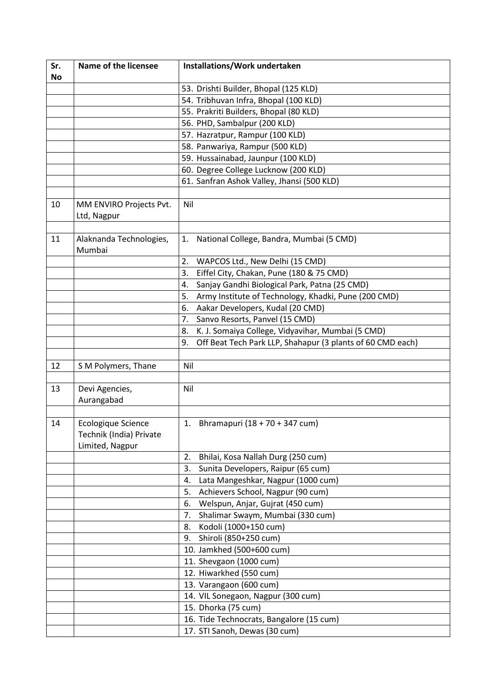| Sr.       | <b>Name of the licensee</b>            | Installations/Work undertaken                                    |
|-----------|----------------------------------------|------------------------------------------------------------------|
| <b>No</b> |                                        |                                                                  |
|           |                                        | 53. Drishti Builder, Bhopal (125 KLD)                            |
|           |                                        | 54. Tribhuvan Infra, Bhopal (100 KLD)                            |
|           |                                        | 55. Prakriti Builders, Bhopal (80 KLD)                           |
|           |                                        | 56. PHD, Sambalpur (200 KLD)                                     |
|           |                                        | 57. Hazratpur, Rampur (100 KLD)                                  |
|           |                                        | 58. Panwariya, Rampur (500 KLD)                                  |
|           |                                        | 59. Hussainabad, Jaunpur (100 KLD)                               |
|           |                                        | 60. Degree College Lucknow (200 KLD)                             |
|           |                                        | 61. Sanfran Ashok Valley, Jhansi (500 KLD)                       |
|           |                                        |                                                                  |
| 10        | MM ENVIRO Projects Pvt.<br>Ltd, Nagpur | Nil                                                              |
|           |                                        |                                                                  |
| 11        | Alaknanda Technologies,<br>Mumbai      | National College, Bandra, Mumbai (5 CMD)<br>1.                   |
|           |                                        | WAPCOS Ltd., New Delhi (15 CMD)<br>2.                            |
|           |                                        | Eiffel City, Chakan, Pune (180 & 75 CMD)<br>3.                   |
|           |                                        | Sanjay Gandhi Biological Park, Patna (25 CMD)<br>4.              |
|           |                                        | Army Institute of Technology, Khadki, Pune (200 CMD)<br>5.       |
|           |                                        | Aakar Developers, Kudal (20 CMD)<br>6.                           |
|           |                                        | 7.<br>Sanvo Resorts, Panvel (15 CMD)                             |
|           |                                        | K. J. Somaiya College, Vidyavihar, Mumbai (5 CMD)<br>8.          |
|           |                                        | Off Beat Tech Park LLP, Shahapur (3 plants of 60 CMD each)<br>9. |
|           |                                        |                                                                  |
| 12        | S M Polymers, Thane                    | Nil                                                              |
|           |                                        |                                                                  |
| 13        | Devi Agencies,                         | Nil                                                              |
|           | Aurangabad                             |                                                                  |
|           |                                        |                                                                  |
| 14        | Ecologique Science                     | Bhramapuri (18 + 70 + 347 cum)<br>1.                             |
|           | Technik (India) Private                |                                                                  |
|           | Limited, Nagpur                        |                                                                  |
|           |                                        | 2.<br>Bhilai, Kosa Nallah Durg (250 cum)                         |
|           |                                        | Sunita Developers, Raipur (65 cum)<br>3.                         |
|           |                                        | Lata Mangeshkar, Nagpur (1000 cum)<br>4.                         |
|           |                                        | Achievers School, Nagpur (90 cum)<br>5.                          |
|           |                                        | Welspun, Anjar, Gujrat (450 cum)<br>6.                           |
|           |                                        | Shalimar Swaym, Mumbai (330 cum)<br>7.                           |
|           |                                        | Kodoli (1000+150 cum)<br>8.                                      |
|           |                                        | Shiroli (850+250 cum)<br>9.                                      |
|           |                                        | 10. Jamkhed (500+600 cum)                                        |
|           |                                        | 11. Shevgaon (1000 cum)                                          |
|           |                                        | 12. Hiwarkhed (550 cum)                                          |
|           |                                        | 13. Varangaon (600 cum)                                          |
|           |                                        | 14. VIL Sonegaon, Nagpur (300 cum)                               |
|           |                                        | 15. Dhorka (75 cum)                                              |
|           |                                        | 16. Tide Technocrats, Bangalore (15 cum)                         |
|           |                                        | 17. STI Sanoh, Dewas (30 cum)                                    |